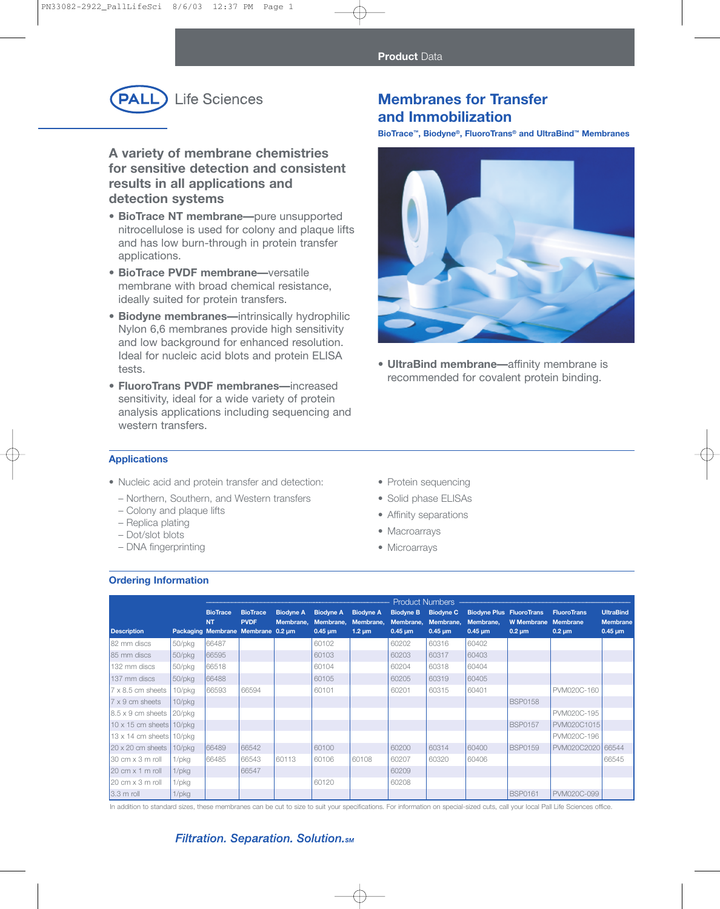

**A variety of membrane chemistries for sensitive detection and consistent results in all applications and detection systems**

- **BioTrace NT membrane—**pure unsupported nitrocellulose is used for colony and plaque lifts and has low burn-through in protein transfer applications.
- **• BioTrace PVDF membrane—**versatile membrane with broad chemical resistance, ideally suited for protein transfers.
- **• Biodyne membranes—**intrinsically hydrophilic Nylon 6,6 membranes provide high sensitivity and low background for enhanced resolution. Ideal for nucleic acid blots and protein ELISA tests.
- **• FluoroTrans PVDF membranes—**increased sensitivity, ideal for a wide variety of protein analysis applications including sequencing and western transfers.

# **Membranes for Transfer and Immobilization**

**BioTrace™, Biodyne®, FluoroTrans® and UltraBind™ Membranes**



**• UltraBind membrane—**affinity membrane is recommended for covalent protein binding.

### **Applications**

- Nucleic acid and protein transfer and detection:
	- Northern, Southern, and Western transfers
	- Colony and plaque lifts
	- Replica plating
	- Dot/slot blots
	- DNA fingerprinting
- Protein sequencing
- Solid phase ELISAs
- Affinity separations
- Macroarrays
- Microarrays

### **Ordering Information**

|                                         |              | <b>Product Numbers</b>       |                                                                      |                               |                                                            |                                              |                                               |                                               |                                                              |                                  |                                                      |                                                     |
|-----------------------------------------|--------------|------------------------------|----------------------------------------------------------------------|-------------------------------|------------------------------------------------------------|----------------------------------------------|-----------------------------------------------|-----------------------------------------------|--------------------------------------------------------------|----------------------------------|------------------------------------------------------|-----------------------------------------------------|
| <b>Description</b>                      |              | <b>BioTrace</b><br><b>NT</b> | <b>BioTrace</b><br><b>PVDF</b><br>Packaging Membrane Membrane 0.2 um | <b>Biodyne A</b><br>Membrane, | <b>Biodyne A</b><br>Membrane,<br>$0.45 \,\mathrm{\upmu m}$ | <b>Biodyne A</b><br>Membrane,<br>$1.2 \mu m$ | <b>Biodyne B</b><br>Membrane,<br>$0.45 \mu m$ | <b>Biodyne C</b><br>Membrane,<br>$0.45 \mu m$ | <b>Biodyne Plus FluoroTrans</b><br>Membrane,<br>$0.45 \mu m$ | <b>W</b> Membrane<br>$0.2 \mu m$ | <b>FluoroTrans</b><br><b>Membrane</b><br>$0.2 \mu m$ | <b>UltraBind</b><br><b>Membrane</b><br>$0.45 \mu m$ |
| 82 mm discs                             | 50/pkg       | 66487                        |                                                                      |                               | 60102                                                      |                                              | 60202                                         | 60316                                         | 60402                                                        |                                  |                                                      |                                                     |
| 85 mm discs                             | 50/pkg       | 66595                        |                                                                      |                               | 60103                                                      |                                              | 60203                                         | 60317                                         | 60403                                                        |                                  |                                                      |                                                     |
| 132 mm discs                            | 50/pkg       | 66518                        |                                                                      |                               | 60104                                                      |                                              | 60204                                         | 60318                                         | 60404                                                        |                                  |                                                      |                                                     |
| 137 mm discs                            | $50$ /pkg    | 66488                        |                                                                      |                               | 60105                                                      |                                              | 60205                                         | 60319                                         | 60405                                                        |                                  |                                                      |                                                     |
| $7 \times 8.5$ cm sheets                | 10/pkg       | 66593                        | 66594                                                                |                               | 60101                                                      |                                              | 60201                                         | 60315                                         | 60401                                                        |                                  | PVM020C-160                                          |                                                     |
| $7 \times 9$ cm sheets                  | $10$ /p $kg$ |                              |                                                                      |                               |                                                            |                                              |                                               |                                               |                                                              | <b>BSP0158</b>                   |                                                      |                                                     |
| $8.5 \times 9$ cm sheets                | 20/pkg       |                              |                                                                      |                               |                                                            |                                              |                                               |                                               |                                                              |                                  | PVM020C-195                                          |                                                     |
| $10 \times 15$ cm sheets                | 10/pkg       |                              |                                                                      |                               |                                                            |                                              |                                               |                                               |                                                              | <b>BSP0157</b>                   | PVM020C1015                                          |                                                     |
| $13 \times 14$ cm sheets                | 10/pkg       |                              |                                                                      |                               |                                                            |                                              |                                               |                                               |                                                              |                                  | PVM020C-196                                          |                                                     |
| $20 \times 20$ cm sheets                | 10/pkg       | 66489                        | 66542                                                                |                               | 60100                                                      |                                              | 60200                                         | 60314                                         | 60400                                                        | <b>BSP0159</b>                   | PVM020C2020                                          | 66544                                               |
| $30 \text{ cm} \times 3 \text{ m}$ roll | 1/pkg        | 66485                        | 66543                                                                | 60113                         | 60106                                                      | 60108                                        | 60207                                         | 60320                                         | 60406                                                        |                                  |                                                      | 66545                                               |
| $20 \text{ cm} \times 1 \text{ m}$ roll | $1$ /p $kg$  |                              | 66547                                                                |                               |                                                            |                                              | 60209                                         |                                               |                                                              |                                  |                                                      |                                                     |
| $20 \text{ cm} \times 3 \text{ m}$ roll | $1$ /pkg     |                              |                                                                      |                               | 60120                                                      |                                              | 60208                                         |                                               |                                                              |                                  |                                                      |                                                     |
| $3.3 \text{ m}$ roll                    | $1$ /p $kg$  |                              |                                                                      |                               |                                                            |                                              |                                               |                                               |                                                              | <b>BSP0161</b>                   | PVM020C-099                                          |                                                     |

In addition to standard sizes, these membranes can be cut to size to suit your specifications. For information on special-sized cuts, call your local Pall Life Sciences office.

### **Filtration. Separation. Solution.**sm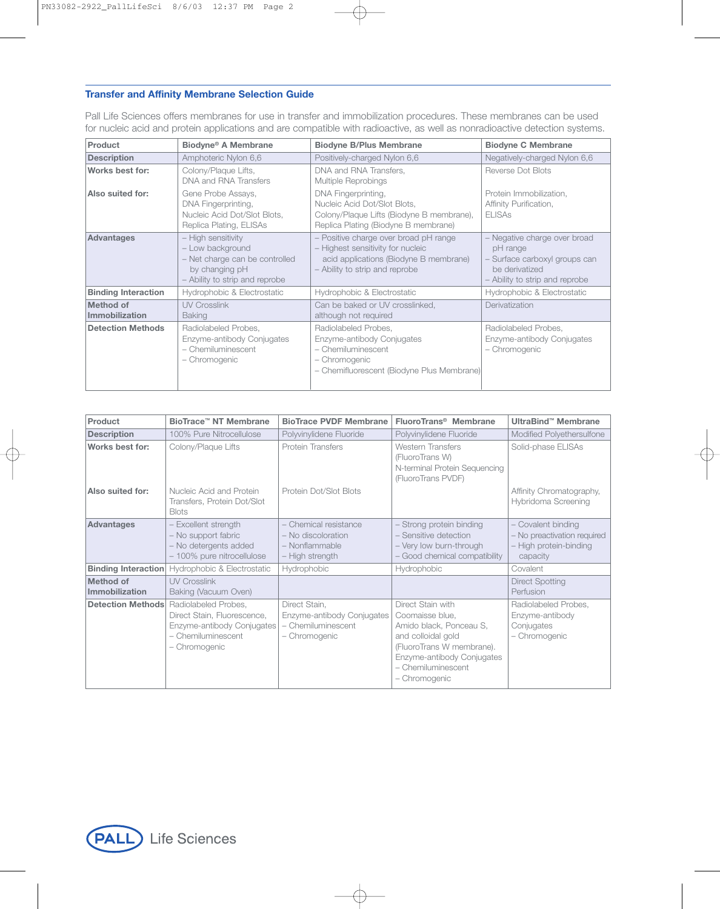### **Transfer and Affinity Membrane Selection Guide**

Pall Life Sciences offers membranes for use in transfer and immobilization procedures. These membranes can be used for nucleic acid and protein applications and are compatible with radioactive, as well as nonradioactive detection systems.

| Product                            | Biodyne <sup>®</sup> A Membrane                                                                                              | <b>Biodyne B/Plus Membrane</b>                                                                                                                         | <b>Biodyne C Membrane</b>                                                                                                   |
|------------------------------------|------------------------------------------------------------------------------------------------------------------------------|--------------------------------------------------------------------------------------------------------------------------------------------------------|-----------------------------------------------------------------------------------------------------------------------------|
| <b>Description</b>                 | Amphoteric Nylon 6,6                                                                                                         | Positively-charged Nylon 6,6                                                                                                                           | Negatively-charged Nylon 6,6                                                                                                |
| Works best for:                    | Colony/Plaque Lifts,<br>DNA and RNA Transfers                                                                                | DNA and RNA Transfers,<br>Multiple Reprobings                                                                                                          | Reverse Dot Blots                                                                                                           |
| Also suited for:                   | Gene Probe Assays,<br>DNA Fingerprinting,<br>Nucleic Acid Dot/Slot Blots,<br>Replica Plating, ELISAs                         | DNA Fingerprinting,<br>Nucleic Acid Dot/Slot Blots,<br>Colony/Plaque Lifts (Biodyne B membrane),<br>Replica Plating (Biodyne B membrane)               | Protein Immobilization,<br>Affinity Purification,<br><b>ELISAS</b>                                                          |
| <b>Advantages</b>                  | - High sensitivity<br>- Low background<br>- Net charge can be controlled<br>by changing pH<br>- Ability to strip and reprobe | - Positive charge over broad pH range<br>- Highest sensitivity for nucleic<br>acid applications (Biodyne B membrane)<br>- Ability to strip and reprobe | - Negative charge over broad<br>pH range<br>Surface carboxyl groups can<br>be derivatized<br>- Ability to strip and reprobe |
| <b>Binding Interaction</b>         | Hydrophobic & Electrostatic                                                                                                  | Hydrophobic & Electrostatic                                                                                                                            | Hydrophobic & Electrostatic                                                                                                 |
| <b>Method of</b><br>Immobilization | <b>UV Crosslink</b><br><b>Baking</b>                                                                                         | Can be baked or UV crosslinked,<br>although not required                                                                                               | Derivatization                                                                                                              |
| <b>Detection Methods</b>           | Radiolabeled Probes,<br>Enzyme-antibody Conjugates<br>- Chemiluminescent<br>- Chromogenic                                    | Radiolabeled Probes,<br>Enzyme-antibody Conjugates<br>- Chemiluminescent<br>- Chromogenic<br>- Chemifluorescent (Biodyne Plus Membrane)                | Radiolabeled Probes,<br>Enzyme-antibody Conjugates<br>- Chromogenic                                                         |

| Product                     | BioTrace™ NT Membrane                                                                                                                             | <b>BioTrace PVDF Membrane</b>                                                      | FluoroTrans <sup>®</sup> Membrane                                                                                                                                                       | <b>UltraBind™ Membrane</b>                                                            |  |
|-----------------------------|---------------------------------------------------------------------------------------------------------------------------------------------------|------------------------------------------------------------------------------------|-----------------------------------------------------------------------------------------------------------------------------------------------------------------------------------------|---------------------------------------------------------------------------------------|--|
| <b>Description</b>          | 100% Pure Nitrocellulose                                                                                                                          | Polyvinylidene Fluoride                                                            | Polyvinylidene Fluoride                                                                                                                                                                 | Modified Polyethersulfone                                                             |  |
| Works best for:             | Colony/Plaque Lifts                                                                                                                               | Protein Transfers                                                                  | <b>Western Transfers</b><br>(FluoroTrans W)<br>N-terminal Protein Sequencing<br>(FluoroTrans PVDF)                                                                                      | Solid-phase ELISAs                                                                    |  |
| Also suited for:            | Nucleic Acid and Protein<br>Transfers, Protein Dot/Slot<br><b>Blots</b>                                                                           | Protein Dot/Slot Blots                                                             |                                                                                                                                                                                         | Affinity Chromatography,<br>Hybridoma Screening                                       |  |
| Advantages                  | - Excellent strength<br>- No support fabric<br>- No detergents added<br>- 100% pure nitrocellulose                                                | - Chemical resistance<br>- No discoloration<br>- Nonflammable<br>- High strength   | - Strong protein binding<br>- Sensitive detection<br>- Very low burn-through<br>- Good chemical compatibility                                                                           | Covalent binding<br>- No preactivation required<br>- High protein-binding<br>capacity |  |
| <b>Binding Interaction</b>  | Hydrophobic & Electrostatic                                                                                                                       | Hydrophobic                                                                        | Hydrophobic                                                                                                                                                                             | Covalent                                                                              |  |
| Method of<br>Immobilization | <b>UV Crosslink</b><br>Baking (Vacuum Oven)                                                                                                       |                                                                                    |                                                                                                                                                                                         | <b>Direct Spotting</b><br>Perfusion                                                   |  |
|                             | <b>Detection Methods</b> Radiolabeled Probes,<br>Direct Stain, Fluorescence,<br>Enzyme-antibody Conjugates<br>- Chemiluminescent<br>- Chromogenic | Direct Stain,<br>Enzyme-antibody Conjugates<br>- Chemiluminescent<br>- Chromogenic | Direct Stain with<br>Coomaisse blue,<br>Amido black, Ponceau S,<br>and colloidal gold<br>(FluoroTrans W membrane).<br>Enzyme-antibody Conjugates<br>- Chemiluminescent<br>- Chromogenic | Radiolabeled Probes,<br>Enzyme-antibody<br>Conjugates<br>- Chromogenic                |  |

**PALL** Life Sciences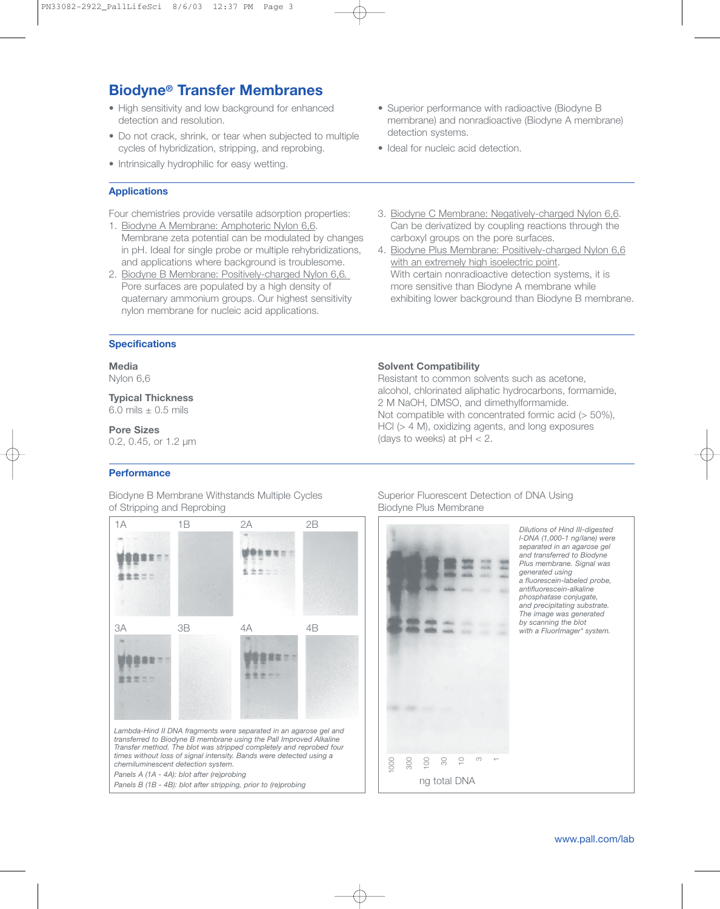# **Biodyne® Transfer Membranes**

- High sensitivity and low background for enhanced detection and resolution.
- Do not crack, shrink, or tear when subjected to multiple cycles of hybridization, stripping, and reprobing.
- Intrinsically hydrophilic for easy wetting.

### **Applications**

Four chemistries provide versatile adsorption properties:

- 1. Biodyne A Membrane: Amphoteric Nylon 6,6. Membrane zeta potential can be modulated by changes in pH. Ideal for single probe or multiple rehybridizations, and applications where background is troublesome.
- 2. Biodyne B Membrane: Positively-charged Nylon 6,6*.*  Pore surfaces are populated by a high density of quaternary ammonium groups. Our highest sensitivity nylon membrane for nucleic acid applications.

### 3. Biodyne C Membrane: Negatively-charged Nylon 6,6. Can be derivatized by coupling reactions through the carboxyl groups on the pore surfaces.

4. Biodyne Plus Membrane: Positively-charged Nylon 6,6 with an extremely high isoelectric point. With certain nonradioactive detection systems, it is more sensitive than Biodyne A membrane while exhibiting lower background than Biodyne B membrane.

### **Specifications**

## **Media**

Nylon 6,6

**Typical Thickness** 6.0 mils  $\pm$  0.5 mils

### **Pore Sizes**

0.2, 0.45, or 1.2 µm

## **Performance**

Biodyne B Membrane Withstands Multiple Cycles of Stripping and Reprobing



## Not compatible with concentrated formic acid (> 50%),

**Solvent Compatibility**

HCl (> 4 M), oxidizing agents, and long exposures (days to weeks) at  $pH < 2$ .

Resistant to common solvents such as acetone, alcohol, chlorinated aliphatic hydrocarbons, formamide,

2 M NaOH, DMSO, and dimethylformamide.

### Superior Fluorescent Detection of DNA Using Biodyne Plus Membrane



- Superior performance with radioactive (Biodyne B membrane) and nonradioactive (Biodyne A membrane) detection systems.
- Ideal for nucleic acid detection.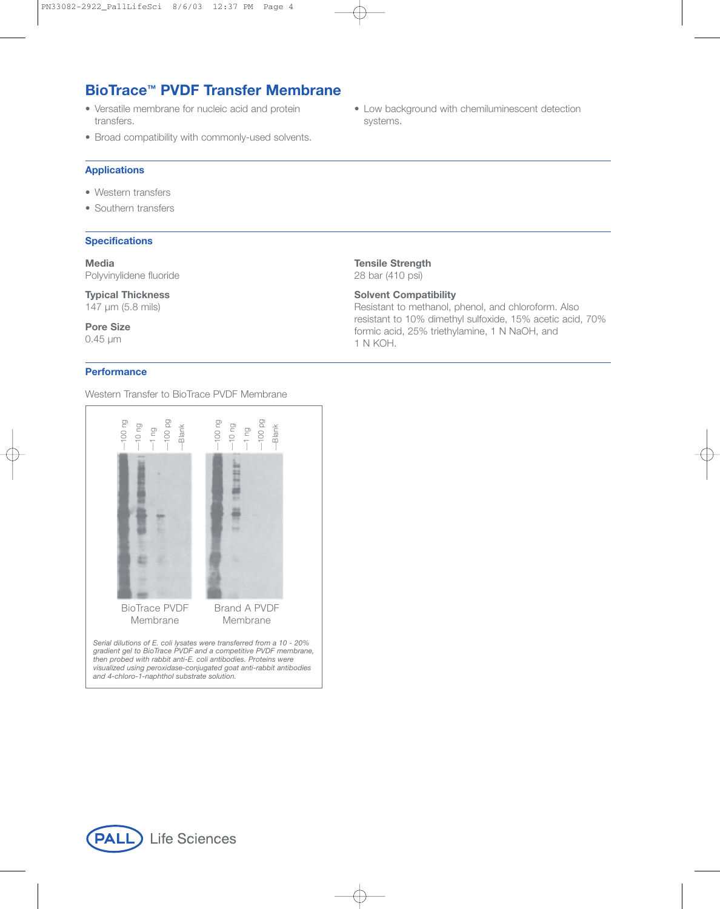# **BioTrace™ PVDF Transfer Membrane**

- Versatile membrane for nucleic acid and protein transfers.
- Broad compatibility with commonly-used solvents.

### **Applications**

- Western transfers
- Southern transfers

### **Specifications**

**Media** Polyvinylidene fluoride

**Typical Thickness** 147 µm (5.8 mils)

**Pore Size** 0.45 µm

### **Performance**

Western Transfer to BioTrace PVDF Membrane



*visualized using peroxidase-conjugated goat anti-rabbit antibodies*

• Low background with chemiluminescent detection systems.

**Tensile Strength** 28 bar (410 psi)

### **Solvent Compatibility**

Resistant to methanol, phenol, and chloroform. Also resistant to 10% dimethyl sulfoxide, 15% acetic acid, 70% formic acid, 25% triethylamine, 1 N NaOH, and 1 N KOH.



*and 4-chloro-1-naphthol substrate solution.*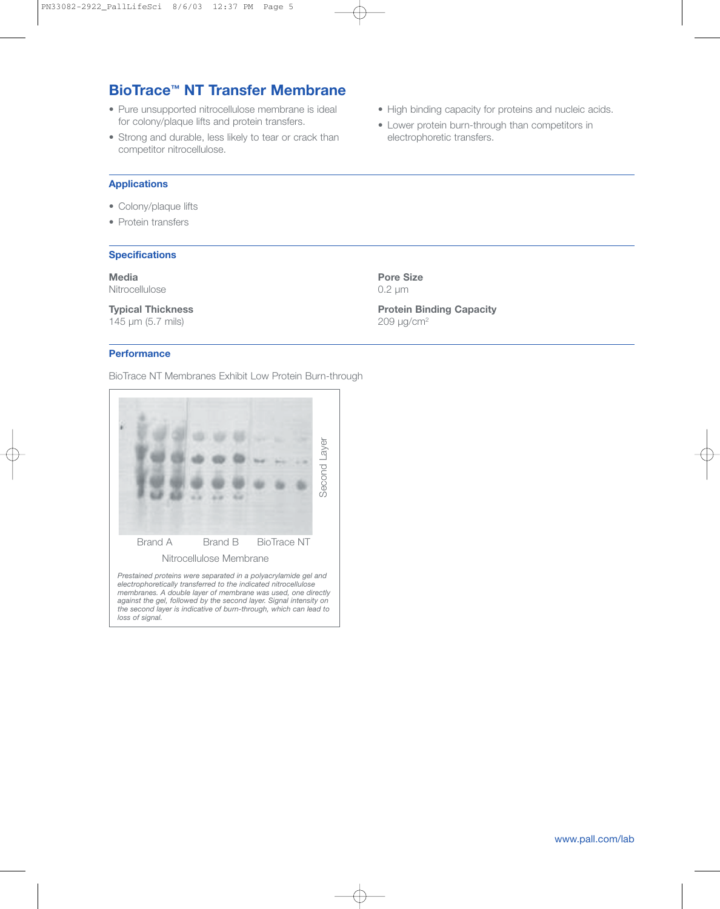# **BioTrace™ NT Transfer Membrane**

- Pure unsupported nitrocellulose membrane is ideal for colony/plaque lifts and protein transfers.
- Strong and durable, less likely to tear or crack than competitor nitrocellulose.
- High binding capacity for proteins and nucleic acids.
- Lower protein burn-through than competitors in electrophoretic transfers.

### **Applications**

- Colony/plaque lifts
- Protein transfers

### **Specifications**

**Media** Nitrocellulose

**Typical Thickness** 145 µm (5.7 mils)

### **Pore Size** 0.2 µm

**Protein Binding Capacity** 209 µg/cm2

## **Performance**

BioTrace NT Membranes Exhibit Low Protein Burn-through

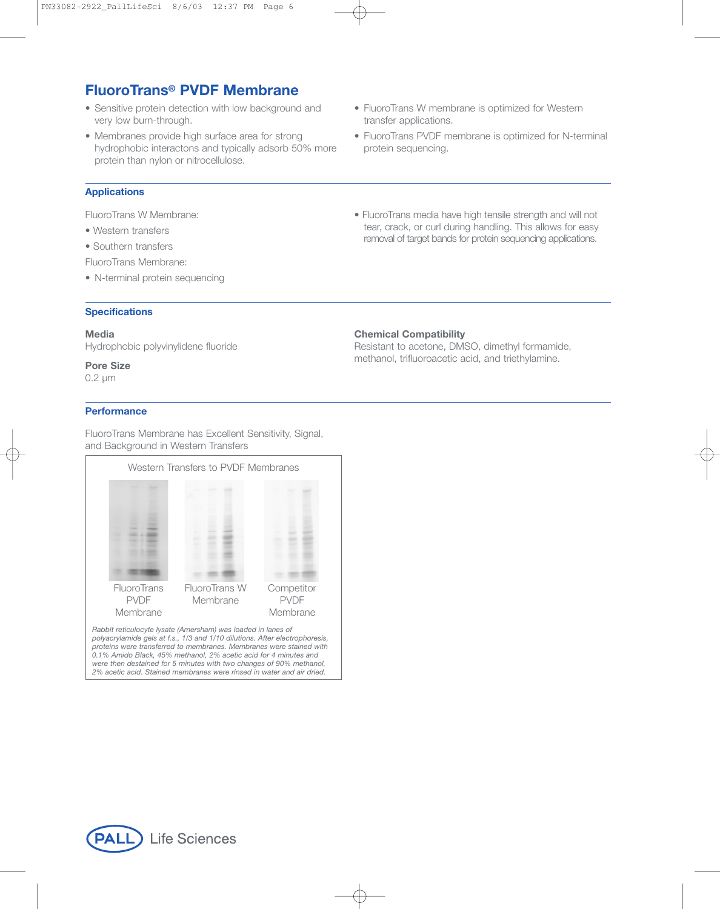# **FluoroTrans® PVDF Membrane**

- Sensitive protein detection with low background and very low burn-through.
- Membranes provide high surface area for strong hydrophobic interactons and typically adsorb 50% more protein than nylon or nitrocellulose.
- FluoroTrans W membrane is optimized for Western transfer applications.
- FluoroTrans PVDF membrane is optimized for N-terminal protein sequencing.

### **Applications**

FluoroTrans W Membrane:

- Western transfers
- Southern transfers
- FluoroTrans Membrane:
- N-terminal protein sequencing

### **Specifications**

### **Media**

Hydrophobic polyvinylidene fluoride

## **Pore Size**

0.2 µm

### **Performance**

FluoroTrans Membrane has Excellent Sensitivity, Signal, and Background in Western Transfers



*Rabbit reticulocyte lysate (Amersham) was loaded in lanes of polyacrylamide gels at f.s., 1/3 and 1/10 dilutions. After electrophoresis, proteins were transferred to membranes. Membranes were stained with 0.1% Amido Black, 45% methanol, 2% acetic acid for 4 minutes and were then destained for 5 minutes with two changes of 90% methanol, 2% acetic acid. Stained membranes were rinsed in water and air dried.*

Life Sciences PALL

• FluoroTrans media have high tensile strength and will not tear, crack, or curl during handling. This allows for easy removal of target bands for protein sequencing applications.

### **Chemical Compatibility**

Resistant to acetone, DMSO, dimethyl formamide, methanol, trifluoroacetic acid, and triethylamine.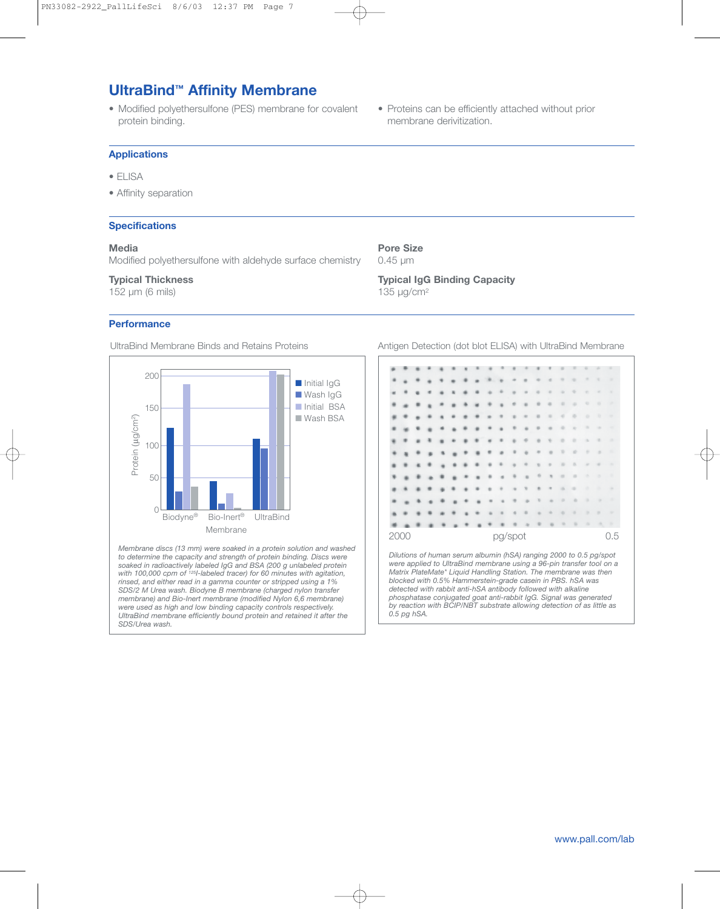# **UltraBind™ Affinity Membrane**

• Modified polyethersulfone (PES) membrane for covalent protein binding.

### **Applications**

- ELISA
- Affinity separation

### **Specifications**

### **Media**

Modified polyethersulfone with aldehyde surface chemistry

### **Typical Thickness**

152 µm (6 mils)

### **Performance**



*Membrane discs (13 mm) were soaked in a protein solution and washed to determine the capacity and strength of protein binding. Discs were soaked in radioactively labeled IgG and BSA (200 g unlabeled protein with 100,000 cpm of 125I-labeled tracer) for 60 minutes with agitation, rinsed, and either read in a gamma counter or stripped using a 1% SDS/2 M Urea wash. Biodyne B membrane (charged nylon transfer membrane) and Bio-Inert membrane (modified Nylon 6,6 membrane) were used as high and low binding capacity controls respectively. UltraBind membrane efficiently bound protein and retained it after the SDS/Urea wash.*

• Proteins can be efficiently attached without prior membrane derivitization.

#### **Pore Size** 0.45 µm

*0.5 pg hSA.*

**Typical IgG Binding Capacity** 135 µg/cm2

UltraBind Membrane Binds and Retains Proteins Antigen Detection (dot blot ELISA) with UltraBind Membrane

![](_page_6_Figure_19.jpeg)